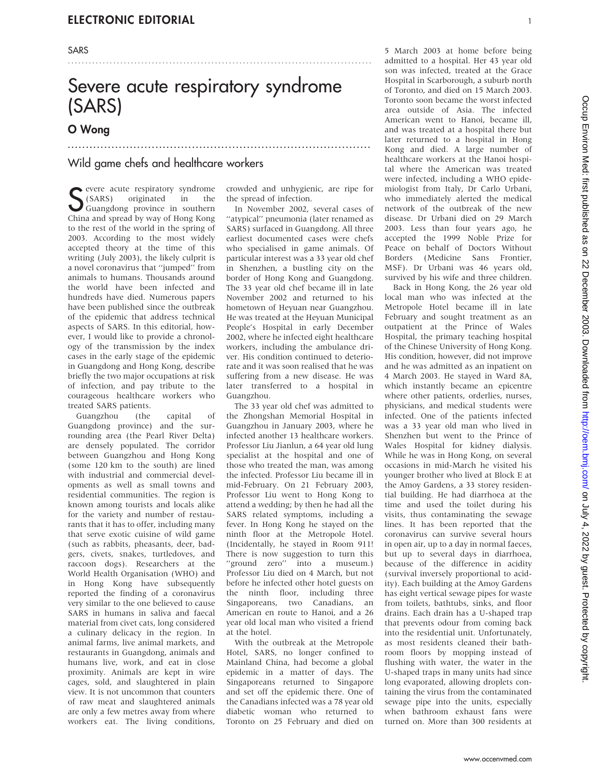# Severe acute respiratory syndrome (SARS)

...................................................................................

.......................................................................................

## O Wong

### Wild game chefs and healthcare workers

S (SARS) originated in the Guangdong province in southern<br>China and spread by way of Hong Kong (SARS) originated in the Guangdong province in southern China and spread by way of Hong Kong to the rest of the world in the spring of 2003. According to the most widely accepted theory at the time of this writing (July 2003), the likely culprit is a novel coronavirus that ''jumped'' from animals to humans. Thousands around the world have been infected and hundreds have died. Numerous papers have been published since the outbreak of the epidemic that address technical aspects of SARS. In this editorial, however, I would like to provide a chronology of the transmission by the index cases in the early stage of the epidemic in Guangdong and Hong Kong, describe briefly the two major occupations at risk of infection, and pay tribute to the courageous healthcare workers who treated SARS patients.

Guangzhou (the capital of Guangdong province) and the surrounding area (the Pearl River Delta) are densely populated. The corridor between Guangzhou and Hong Kong (some 120 km to the south) are lined with industrial and commercial developments as well as small towns and residential communities. The region is known among tourists and locals alike for the variety and number of restaurants that it has to offer, including many that serve exotic cuisine of wild game (such as rabbits, pheasants, deer, badgers, civets, snakes, turtledoves, and raccoon dogs). Researchers at the World Health Organisation (WHO) and in Hong Kong have subsequently reported the finding of a coronavirus very similar to the one believed to cause SARS in humans in saliva and faecal material from civet cats, long considered a culinary delicacy in the region. In animal farms, live animal markets, and restaurants in Guangdong, animals and humans live, work, and eat in close proximity. Animals are kept in wire cages, sold, and slaughtered in plain view. It is not uncommon that counters of raw meat and slaughtered animals are only a few metres away from where workers eat. The living conditions, crowded and unhygienic, are ripe for the spread of infection.

In November 2002, several cases of ''atypical'' pneumonia (later renamed as SARS) surfaced in Guangdong. All three earliest documented cases were chefs who specialised in game animals. Of particular interest was a 33 year old chef in Shenzhen, a bustling city on the border of Hong Kong and Guangdong. The 33 year old chef became ill in late November 2002 and returned to his hometown of Heyuan near Guangzhou. He was treated at the Heyuan Municipal People's Hospital in early December 2002, where he infected eight healthcare workers, including the ambulance driver. His condition continued to deteriorate and it was soon realised that he was suffering from a new disease. He was later transferred to a hospital in Guangzhou.

The 33 year old chef was admitted to the Zhongshan Memorial Hospital in Guangzhou in January 2003, where he infected another 13 healthcare workers. Professor Liu Jianlun, a 64 year old lung specialist at the hospital and one of those who treated the man, was among the infected. Professor Liu became ill in mid-February. On 21 February 2003, Professor Liu went to Hong Kong to attend a wedding; by then he had all the SARS related symptoms, including a fever. In Hong Kong he stayed on the ninth floor at the Metropole Hotel. (Incidentally, he stayed in Room 911! There is now suggestion to turn this "ground zero" into a museum.) Professor Liu died on 4 March, but not before he infected other hotel guests on the ninth floor, including three Singaporeans, two Canadians, an American en route to Hanoi, and a 26 year old local man who visited a friend at the hotel.

With the outbreak at the Metropole Hotel, SARS, no longer confined to Mainland China, had become a global epidemic in a matter of days. The Singaporeans returned to Singapore and set off the epidemic there. One of the Canadians infected was a 78 year old diabetic woman who returned to Toronto on 25 February and died on

5 March 2003 at home before being admitted to a hospital. Her 43 year old son was infected, treated at the Grace Hospital in Scarborough, a suburb north of Toronto, and died on 15 March 2003. Toronto soon became the worst infected area outside of Asia. The infected American went to Hanoi, became ill, and was treated at a hospital there but later returned to a hospital in Hong Kong and died. A large number of healthcare workers at the Hanoi hospital where the American was treated were infected, including a WHO epidemiologist from Italy, Dr Carlo Urbani, who immediately alerted the medical network of the outbreak of the new disease. Dr Urbani died on 29 March 2003. Less than four years ago, he accepted the 1999 Noble Prize for Peace on behalf of Doctors Without Borders (Medicine Sans Frontier, MSF). Dr Urbani was 46 years old, survived by his wife and three children.

Back in Hong Kong, the 26 year old local man who was infected at the Metropole Hotel became ill in late February and sought treatment as an outpatient at the Prince of Wales Hospital, the primary teaching hospital of the Chinese University of Hong Kong. His condition, however, did not improve and he was admitted as an inpatient on 4 March 2003. He stayed in Ward 8A, which instantly became an epicentre where other patients, orderlies, nurses, physicians, and medical students were infected. One of the patients infected was a 33 year old man who lived in Shenzhen but went to the Prince of Wales Hospital for kidney dialysis. While he was in Hong Kong, on several occasions in mid-March he visited his younger brother who lived at Block E at the Amoy Gardens, a 33 storey residential building. He had diarrhoea at the time and used the toilet during his visits, thus contaminating the sewage lines. It has been reported that the coronavirus can survive several hours in open air, up to a day in normal faeces, but up to several days in diarrhoea, because of the difference in acidity (survival inversely proportional to acidity). Each building at the Amoy Gardens has eight vertical sewage pipes for waste from toilets, bathtubs, sinks, and floor drains. Each drain has a U-shaped trap that prevents odour from coming back into the residential unit. Unfortunately, as most residents cleaned their bathroom floors by mopping instead of flushing with water, the water in the U-shaped traps in many units had since long evaporated, allowing droplets containing the virus from the contaminated sewage pipe into the units, especially when bathroom exhaust fans were turned on. More than 300 residents at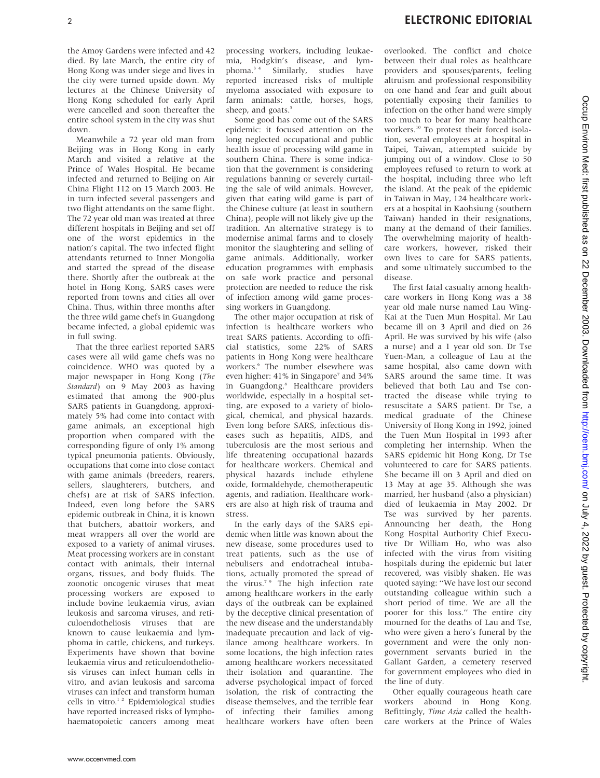the Amoy Gardens were infected and 42 died. By late March, the entire city of Hong Kong was under siege and lives in the city were turned upside down. My lectures at the Chinese University of Hong Kong scheduled for early April were cancelled and soon thereafter the entire school system in the city was shut down.

Meanwhile a 72 year old man from Beijing was in Hong Kong in early March and visited a relative at the Prince of Wales Hospital. He became infected and returned to Beijing on Air China Flight 112 on 15 March 2003. He in turn infected several passengers and two flight attendants on the same flight. The 72 year old man was treated at three different hospitals in Beijing and set off one of the worst epidemics in the nation's capital. The two infected flight attendants returned to Inner Mongolia and started the spread of the disease there. Shortly after the outbreak at the hotel in Hong Kong, SARS cases were reported from towns and cities all over China. Thus, within three months after the three wild game chefs in Guangdong became infected, a global epidemic was in full swing.

That the three earliest reported SARS cases were all wild game chefs was no coincidence. WHO was quoted by a major newspaper in Hong Kong (The Standard) on 9 May 2003 as having estimated that among the 900-plus SARS patients in Guangdong, approximately 5% had come into contact with game animals, an exceptional high proportion when compared with the corresponding figure of only 1% among typical pneumonia patients. Obviously, occupations that come into close contact with game animals (breeders, rearers, sellers, slaughterers, butchers, and chefs) are at risk of SARS infection. Indeed, even long before the SARS epidemic outbreak in China, it is known that butchers, abattoir workers, and meat wrappers all over the world are exposed to a variety of animal viruses. Meat processing workers are in constant contact with animals, their internal organs, tissues, and body fluids. The zoonotic oncogenic viruses that meat processing workers are exposed to include bovine leukaemia virus, avian leukosis and sarcoma viruses, and reticuloendotheliosis viruses that are known to cause leukaemia and lymphoma in cattle, chickens, and turkeys. Experiments have shown that bovine leukaemia virus and reticuloendotheliosis viruses can infect human cells in vitro, and avian leukosis and sarcoma viruses can infect and transform human cells in vitro.1 2 Epidemiological studies have reported increased risks of lymphohaematopoietic cancers among meat

processing workers, including leukaemia, Hodgkin's disease, and lymphoma.3 4 Similarly, studies have reported increased risks of multiple myeloma associated with exposure to farm animals: cattle, horses, hogs, sheep, and goats.<sup>5</sup>

Some good has come out of the SARS epidemic: it focused attention on the long neglected occupational and public health issue of processing wild game in southern China. There is some indication that the government is considering regulations banning or severely curtailing the sale of wild animals. However, given that eating wild game is part of the Chinese culture (at least in southern China), people will not likely give up the tradition. An alternative strategy is to modernise animal farms and to closely monitor the slaughtering and selling of game animals. Additionally, worker education programmes with emphasis on safe work practice and personal protection are needed to reduce the risk of infection among wild game processing workers in Guangdong.

The other major occupation at risk of infection is healthcare workers who treat SARS patients. According to official statistics, some 22% of SARS patients in Hong Kong were healthcare workers.6 The number elsewhere was even higher: 41% in Singapore<sup>7</sup> and 34% in Guangdong.<sup>8</sup> Healthcare providers worldwide, especially in a hospital setting, are exposed to a variety of biological, chemical, and physical hazards. Even long before SARS, infectious diseases such as hepatitis, AIDS, and tuberculosis are the most serious and life threatening occupational hazards for healthcare workers. Chemical and physical hazards include ethylene oxide, formaldehyde, chemotherapeutic agents, and radiation. Healthcare workers are also at high risk of trauma and stress.

In the early days of the SARS epidemic when little was known about the new disease, some procedures used to treat patients, such as the use of nebulisers and endotracheal intubations, actually promoted the spread of the virus.<sup>7</sup> <sup>9</sup> The high infection rate among healthcare workers in the early days of the outbreak can be explained by the deceptive clinical presentation of the new disease and the understandably inadequate precaution and lack of vigilance among healthcare workers. In some locations, the high infection rates among healthcare workers necessitated their isolation and quarantine. The adverse psychological impact of forced isolation, the risk of contracting the disease themselves, and the terrible fear of infecting their families among healthcare workers have often been overlooked. The conflict and choice between their dual roles as healthcare providers and spouses/parents, feeling altruism and professional responsibility on one hand and fear and guilt about potentially exposing their families to infection on the other hand were simply too much to bear for many healthcare workers.<sup>10</sup> To protest their forced isolation, several employees at a hospital in Taipei, Taiwan, attempted suicide by jumping out of a window. Close to 50 employees refused to return to work at the hospital, including three who left the island. At the peak of the epidemic in Taiwan in May, 124 healthcare workers at a hospital in Kaohsiung (southern Taiwan) handed in their resignations, many at the demand of their families. The overwhelming majority of healthcare workers, however, risked their own lives to care for SARS patients, and some ultimately succumbed to the disease.

The first fatal casualty among healthcare workers in Hong Kong was a 38 year old male nurse named Lau Wing-Kai at the Tuen Mun Hospital. Mr Lau became ill on 3 April and died on 26 April. He was survived by his wife (also a nurse) and a 1 year old son. Dr Tse Yuen-Man, a colleague of Lau at the same hospital, also came down with SARS around the same time. It was believed that both Lau and Tse contracted the disease while trying to resuscitate a SARS patient. Dr Tse, a medical graduate of the Chinese University of Hong Kong in 1992, joined the Tuen Mun Hospital in 1993 after completing her internship. When the SARS epidemic hit Hong Kong, Dr Tse volunteered to care for SARS patients. She became ill on 3 April and died on 13 May at age 35. Although she was married, her husband (also a physician) died of leukaemia in May 2002. Dr Tse was survived by her parents. Announcing her death, the Hong Kong Hospital Authority Chief Executive Dr William Ho, who was also infected with the virus from visiting hospitals during the epidemic but later recovered, was visibly shaken. He was quoted saying: ''We have lost our second outstanding colleague within such a short period of time. We are all the poorer for this loss.'' The entire city mourned for the deaths of Lau and Tse, who were given a hero's funeral by the government and were the only nongovernment servants buried in the Gallant Garden, a cemetery reserved for government employees who died in the line of duty.

Other equally courageous heath care workers abound in Hong Kong. Befittingly, Time Asia called the healthcare workers at the Prince of Wales